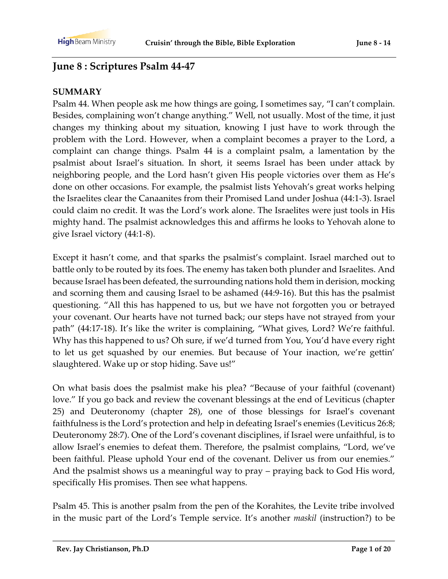# **June 8 : Scriptures Psalm 44-47**

#### **SUMMARY**

Psalm 44. When people ask me how things are going, I sometimes say, "I can't complain. Besides, complaining won't change anything." Well, not usually. Most of the time, it just changes my thinking about my situation, knowing I just have to work through the problem with the Lord. However, when a complaint becomes a prayer to the Lord, a complaint can change things. Psalm 44 is a complaint psalm, a lamentation by the psalmist about Israel's situation. In short, it seems Israel has been under attack by neighboring people, and the Lord hasn't given His people victories over them as He's done on other occasions. For example, the psalmist lists Yehovah's great works helping the Israelites clear the Canaanites from their Promised Land under Joshua (44:1-3). Israel could claim no credit. It was the Lord's work alone. The Israelites were just tools in His mighty hand. The psalmist acknowledges this and affirms he looks to Yehovah alone to give Israel victory (44:1-8).

Except it hasn't come, and that sparks the psalmist's complaint. Israel marched out to battle only to be routed by its foes. The enemy has taken both plunder and Israelites. And because Israel has been defeated, the surrounding nations hold them in derision, mocking and scorning them and causing Israel to be ashamed (44:9-16). But this has the psalmist questioning. "All this has happened to us, but we have not forgotten you or betrayed your covenant. Our hearts have not turned back; our steps have not strayed from your path" (44:17-18). It's like the writer is complaining, "What gives, Lord? We're faithful. Why has this happened to us? Oh sure, if we'd turned from You, You'd have every right to let us get squashed by our enemies. But because of Your inaction, we're gettin' slaughtered. Wake up or stop hiding. Save us!"

On what basis does the psalmist make his plea? "Because of your faithful (covenant) love." If you go back and review the covenant blessings at the end of Leviticus (chapter 25) and Deuteronomy (chapter 28), one of those blessings for Israel's covenant faithfulness is the Lord's protection and help in defeating Israel's enemies (Leviticus 26:8; Deuteronomy 28:7). One of the Lord's covenant disciplines, if Israel were unfaithful, is to allow Israel's enemies to defeat them. Therefore, the psalmist complains, "Lord, we've been faithful. Please uphold Your end of the covenant. Deliver us from our enemies." And the psalmist shows us a meaningful way to pray – praying back to God His word, specifically His promises. Then see what happens.

Psalm 45. This is another psalm from the pen of the Korahites, the Levite tribe involved in the music part of the Lord's Temple service. It's another *maskil* (instruction?) to be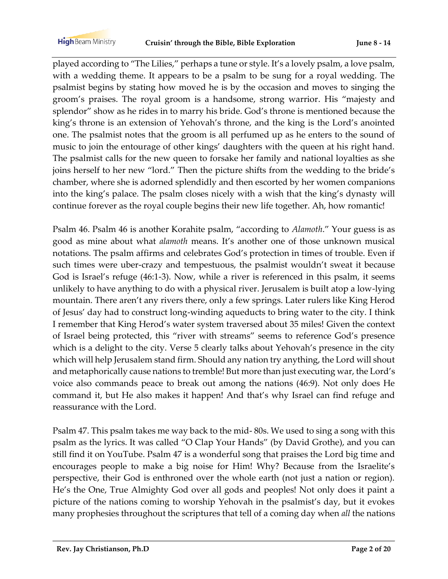played according to "The Lilies," perhaps a tune or style. It's a lovely psalm, a love psalm, with a wedding theme. It appears to be a psalm to be sung for a royal wedding. The psalmist begins by stating how moved he is by the occasion and moves to singing the groom's praises. The royal groom is a handsome, strong warrior. His "majesty and splendor" show as he rides in to marry his bride. God's throne is mentioned because the king's throne is an extension of Yehovah's throne, and the king is the Lord's anointed one. The psalmist notes that the groom is all perfumed up as he enters to the sound of music to join the entourage of other kings' daughters with the queen at his right hand. The psalmist calls for the new queen to forsake her family and national loyalties as she joins herself to her new "lord." Then the picture shifts from the wedding to the bride's chamber, where she is adorned splendidly and then escorted by her women companions into the king's palace. The psalm closes nicely with a wish that the king's dynasty will continue forever as the royal couple begins their new life together. Ah, how romantic!

Psalm 46. Psalm 46 is another Korahite psalm, "according to *Alamoth*." Your guess is as good as mine about what *alamoth* means. It's another one of those unknown musical notations. The psalm affirms and celebrates God's protection in times of trouble. Even if such times were uber-crazy and tempestuous, the psalmist wouldn't sweat it because God is Israel's refuge (46:1-3). Now, while a river is referenced in this psalm, it seems unlikely to have anything to do with a physical river. Jerusalem is built atop a low-lying mountain. There aren't any rivers there, only a few springs. Later rulers like King Herod of Jesus' day had to construct long-winding aqueducts to bring water to the city. I think I remember that King Herod's water system traversed about 35 miles! Given the context of Israel being protected, this "river with streams" seems to reference God's presence which is a delight to the city. Verse 5 clearly talks about Yehovah's presence in the city which will help Jerusalem stand firm. Should any nation try anything, the Lord will shout and metaphorically cause nations to tremble! But more than just executing war, the Lord's voice also commands peace to break out among the nations (46:9). Not only does He command it, but He also makes it happen! And that's why Israel can find refuge and reassurance with the Lord.

Psalm 47. This psalm takes me way back to the mid- 80s. We used to sing a song with this psalm as the lyrics. It was called "O Clap Your Hands" (by David Grothe), and you can still find it on YouTube. Psalm 47 is a wonderful song that praises the Lord big time and encourages people to make a big noise for Him! Why? Because from the Israelite's perspective, their God is enthroned over the whole earth (not just a nation or region). He's the One, True Almighty God over all gods and peoples! Not only does it paint a picture of the nations coming to worship Yehovah in the psalmist's day, but it evokes many prophesies throughout the scriptures that tell of a coming day when *all* the nations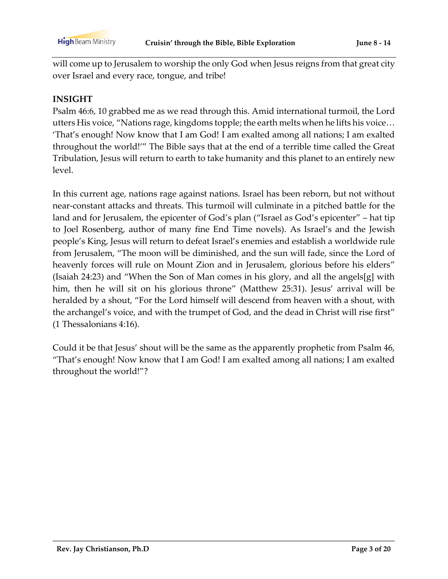will come up to Jerusalem to worship the only God when Jesus reigns from that great city over Israel and every race, tongue, and tribe!

#### **INSIGHT**

Psalm 46:6, 10 grabbed me as we read through this. Amid international turmoil, the Lord utters His voice, "Nations rage, kingdoms topple; the earth melts when he lifts his voice… 'That's enough! Now know that I am God! I am exalted among all nations; I am exalted throughout the world!'" The Bible says that at the end of a terrible time called the Great Tribulation, Jesus will return to earth to take humanity and this planet to an entirely new level.

In this current age, nations rage against nations. Israel has been reborn, but not without near-constant attacks and threats. This turmoil will culminate in a pitched battle for the land and for Jerusalem, the epicenter of God's plan ("Israel as God's epicenter" – hat tip to Joel Rosenberg, author of many fine End Time novels). As Israel's and the Jewish people's King, Jesus will return to defeat Israel's enemies and establish a worldwide rule from Jerusalem, "The moon will be diminished, and the sun will fade, since the Lord of heavenly forces will rule on Mount Zion and in Jerusalem, glorious before his elders" (Isaiah 24:23) and "When the Son of Man comes in his glory, and all the angels[g] with him, then he will sit on his glorious throne" (Matthew 25:31). Jesus' arrival will be heralded by a shout, "For the Lord himself will descend from heaven with a shout, with the archangel's voice, and with the trumpet of God, and the dead in Christ will rise first" (1 Thessalonians 4:16).

Could it be that Jesus' shout will be the same as the apparently prophetic from Psalm 46, "That's enough! Now know that I am God! I am exalted among all nations; I am exalted throughout the world!"?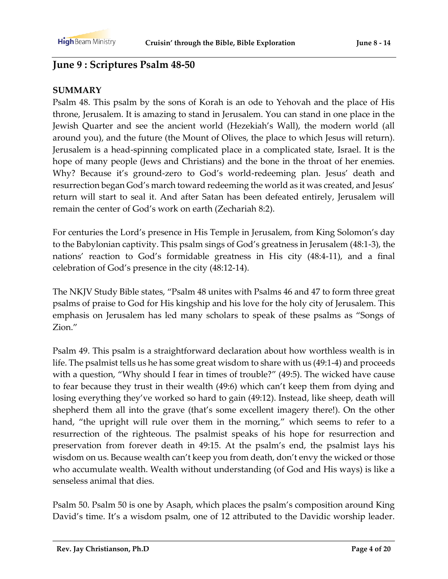## **June 9 : Scriptures Psalm 48-50**

#### **SUMMARY**

Psalm 48. This psalm by the sons of Korah is an ode to Yehovah and the place of His throne, Jerusalem. It is amazing to stand in Jerusalem. You can stand in one place in the Jewish Quarter and see the ancient world (Hezekiah's Wall), the modern world (all around you), and the future (the Mount of Olives, the place to which Jesus will return). Jerusalem is a head-spinning complicated place in a complicated state, Israel. It is the hope of many people (Jews and Christians) and the bone in the throat of her enemies. Why? Because it's ground-zero to God's world-redeeming plan. Jesus' death and resurrection began God's march toward redeeming the world as it was created, and Jesus' return will start to seal it. And after Satan has been defeated entirely, Jerusalem will remain the center of God's work on earth (Zechariah 8:2).

For centuries the Lord's presence in His Temple in Jerusalem, from King Solomon's day to the Babylonian captivity. This psalm sings of God's greatness in Jerusalem (48:1-3), the nations' reaction to God's formidable greatness in His city (48:4-11), and a final celebration of God's presence in the city (48:12-14).

The NKJV Study Bible states, "Psalm 48 unites with Psalms 46 and 47 to form three great psalms of praise to God for His kingship and his love for the holy city of Jerusalem. This emphasis on Jerusalem has led many scholars to speak of these psalms as "Songs of Zion."

Psalm 49. This psalm is a straightforward declaration about how worthless wealth is in life. The psalmist tells us he has some great wisdom to share with us (49:1-4) and proceeds with a question, "Why should I fear in times of trouble?" (49:5). The wicked have cause to fear because they trust in their wealth (49:6) which can't keep them from dying and losing everything they've worked so hard to gain (49:12). Instead, like sheep, death will shepherd them all into the grave (that's some excellent imagery there!). On the other hand, "the upright will rule over them in the morning," which seems to refer to a resurrection of the righteous. The psalmist speaks of his hope for resurrection and preservation from forever death in 49:15. At the psalm's end, the psalmist lays his wisdom on us. Because wealth can't keep you from death, don't envy the wicked or those who accumulate wealth. Wealth without understanding (of God and His ways) is like a senseless animal that dies.

Psalm 50. Psalm 50 is one by Asaph, which places the psalm's composition around King David's time. It's a wisdom psalm, one of 12 attributed to the Davidic worship leader.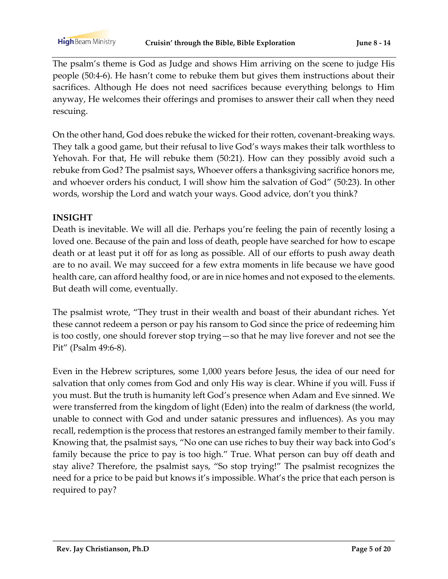**High** Beam Ministry

The psalm's theme is God as Judge and shows Him arriving on the scene to judge His people (50:4-6). He hasn't come to rebuke them but gives them instructions about their sacrifices. Although He does not need sacrifices because everything belongs to Him anyway, He welcomes their offerings and promises to answer their call when they need rescuing.

On the other hand, God does rebuke the wicked for their rotten, covenant-breaking ways. They talk a good game, but their refusal to live God's ways makes their talk worthless to Yehovah. For that, He will rebuke them (50:21). How can they possibly avoid such a rebuke from God? The psalmist says, Whoever offers a thanksgiving sacrifice honors me, and whoever orders his conduct, I will show him the salvation of God" (50:23). In other words, worship the Lord and watch your ways. Good advice, don't you think?

#### **INSIGHT**

Death is inevitable. We will all die. Perhaps you're feeling the pain of recently losing a loved one. Because of the pain and loss of death, people have searched for how to escape death or at least put it off for as long as possible. All of our efforts to push away death are to no avail. We may succeed for a few extra moments in life because we have good health care, can afford healthy food, or are in nice homes and not exposed to the elements. But death will come, eventually.

The psalmist wrote, "They trust in their wealth and boast of their abundant riches. Yet these cannot redeem a person or pay his ransom to God since the price of redeeming him is too costly, one should forever stop trying—so that he may live forever and not see the Pit" (Psalm 49:6-8).

Even in the Hebrew scriptures, some 1,000 years before Jesus, the idea of our need for salvation that only comes from God and only His way is clear. Whine if you will. Fuss if you must. But the truth is humanity left God's presence when Adam and Eve sinned. We were transferred from the kingdom of light (Eden) into the realm of darkness (the world, unable to connect with God and under satanic pressures and influences). As you may recall, redemption is the process that restores an estranged family member to their family. Knowing that, the psalmist says, "No one can use riches to buy their way back into God's family because the price to pay is too high." True. What person can buy off death and stay alive? Therefore, the psalmist says, "So stop trying!" The psalmist recognizes the need for a price to be paid but knows it's impossible. What's the price that each person is required to pay?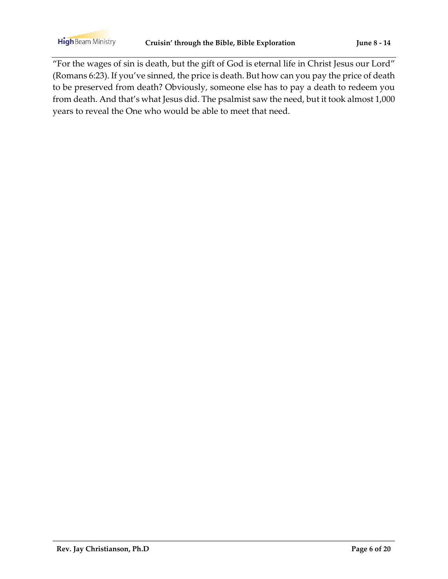**High** Beam Ministry

"For the wages of sin is death, but the gift of God is eternal life in Christ Jesus our Lord" (Romans 6:23). If you've sinned, the price is death. But how can you pay the price of death to be preserved from death? Obviously, someone else has to pay a death to redeem you from death. And that's what Jesus did. The psalmist saw the need, but it took almost 1,000 years to reveal the One who would be able to meet that need.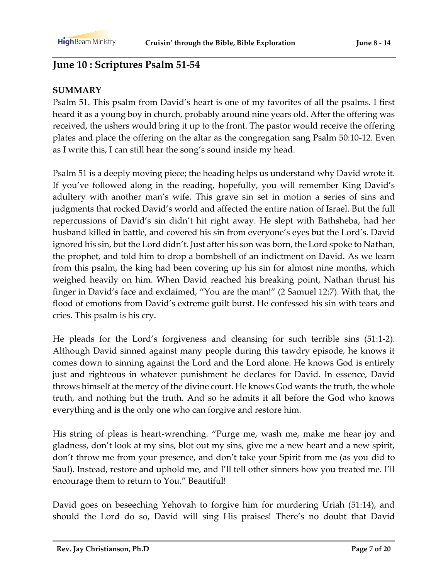# **June 10 : Scriptures Psalm 51-54**

#### **SUMMARY**

Psalm 51. This psalm from David's heart is one of my favorites of all the psalms. I first heard it as a young boy in church, probably around nine years old. After the offering was received, the ushers would bring it up to the front. The pastor would receive the offering plates and place the offering on the altar as the congregation sang Psalm 50:10-12. Even as I write this, I can still hear the song's sound inside my head.

Psalm 51 is a deeply moving piece; the heading helps us understand why David wrote it. If you've followed along in the reading, hopefully, you will remember King David's adultery with another man's wife. This grave sin set in motion a series of sins and judgments that rocked David's world and affected the entire nation of Israel. But the full repercussions of David's sin didn't hit right away. He slept with Bathsheba, had her husband killed in battle, and covered his sin from everyone's eyes but the Lord's. David ignored his sin, but the Lord didn't. Just after his son was born, the Lord spoke to Nathan, the prophet, and told him to drop a bombshell of an indictment on David. As we learn from this psalm, the king had been covering up his sin for almost nine months, which weighed heavily on him. When David reached his breaking point, Nathan thrust his finger in David's face and exclaimed, "You are the man!" (2 Samuel 12:7). With that, the flood of emotions from David's extreme guilt burst. He confessed his sin with tears and cries. This psalm is his cry.

He pleads for the Lord's forgiveness and cleansing for such terrible sins (51:1-2). Although David sinned against many people during this tawdry episode, he knows it comes down to sinning against the Lord and the Lord alone. He knows God is entirely just and righteous in whatever punishment he declares for David. In essence, David throws himself at the mercy of the divine court. He knows God wants the truth, the whole truth, and nothing but the truth. And so he admits it all before the God who knows everything and is the only one who can forgive and restore him.

His string of pleas is heart-wrenching. "Purge me, wash me, make me hear joy and gladness, don't look at my sins, blot out my sins, give me a new heart and a new spirit, don't throw me from your presence, and don't take your Spirit from me (as you did to Saul). Instead, restore and uphold me, and I'll tell other sinners how you treated me. I'll encourage them to return to You." Beautiful!

David goes on beseeching Yehovah to forgive him for murdering Uriah (51:14), and should the Lord do so, David will sing His praises! There's no doubt that David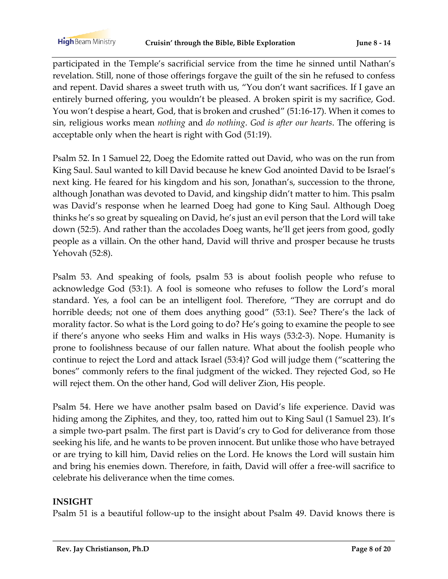participated in the Temple's sacrificial service from the time he sinned until Nathan's revelation. Still, none of those offerings forgave the guilt of the sin he refused to confess and repent. David shares a sweet truth with us, "You don't want sacrifices. If I gave an entirely burned offering, you wouldn't be pleased. A broken spirit is my sacrifice, God. You won't despise a heart, God, that is broken and crushed" (51:16-17). When it comes to sin, religious works mean *nothing* and *do nothing*. *God is after our hearts*. The offering is acceptable only when the heart is right with God (51:19).

Psalm 52. In 1 Samuel 22, Doeg the Edomite ratted out David, who was on the run from King Saul. Saul wanted to kill David because he knew God anointed David to be Israel's next king. He feared for his kingdom and his son, Jonathan's, succession to the throne, although Jonathan was devoted to David, and kingship didn't matter to him. This psalm was David's response when he learned Doeg had gone to King Saul. Although Doeg thinks he's so great by squealing on David, he's just an evil person that the Lord will take down (52:5). And rather than the accolades Doeg wants, he'll get jeers from good, godly people as a villain. On the other hand, David will thrive and prosper because he trusts Yehovah (52:8).

Psalm 53. And speaking of fools, psalm 53 is about foolish people who refuse to acknowledge God (53:1). A fool is someone who refuses to follow the Lord's moral standard. Yes, a fool can be an intelligent fool. Therefore, "They are corrupt and do horrible deeds; not one of them does anything good" (53:1). See? There's the lack of morality factor. So what is the Lord going to do? He's going to examine the people to see if there's anyone who seeks Him and walks in His ways (53:2-3). Nope. Humanity is prone to foolishness because of our fallen nature. What about the foolish people who continue to reject the Lord and attack Israel (53:4)? God will judge them ("scattering the bones" commonly refers to the final judgment of the wicked. They rejected God, so He will reject them. On the other hand, God will deliver Zion, His people.

Psalm 54. Here we have another psalm based on David's life experience. David was hiding among the Ziphites, and they, too, ratted him out to King Saul (1 Samuel 23). It's a simple two-part psalm. The first part is David's cry to God for deliverance from those seeking his life, and he wants to be proven innocent. But unlike those who have betrayed or are trying to kill him, David relies on the Lord. He knows the Lord will sustain him and bring his enemies down. Therefore, in faith, David will offer a free-will sacrifice to celebrate his deliverance when the time comes.

#### **INSIGHT**

Psalm 51 is a beautiful follow-up to the insight about Psalm 49. David knows there is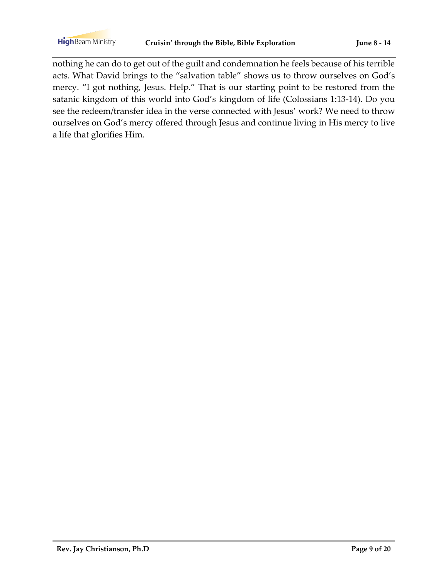nothing he can do to get out of the guilt and condemnation he feels because of his terrible acts. What David brings to the "salvation table" shows us to throw ourselves on God's mercy. "I got nothing, Jesus. Help." That is our starting point to be restored from the satanic kingdom of this world into God's kingdom of life (Colossians 1:13-14). Do you see the redeem/transfer idea in the verse connected with Jesus' work? We need to throw ourselves on God's mercy offered through Jesus and continue living in His mercy to live a life that glorifies Him.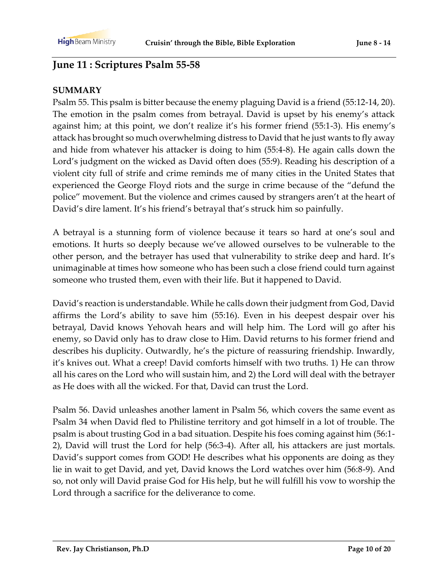# **June 11 : Scriptures Psalm 55-58**

### **SUMMARY**

Psalm 55. This psalm is bitter because the enemy plaguing David is a friend (55:12-14, 20). The emotion in the psalm comes from betrayal. David is upset by his enemy's attack against him; at this point, we don't realize it's his former friend (55:1-3). His enemy's attack has brought so much overwhelming distress to David that he just wants to fly away and hide from whatever his attacker is doing to him (55:4-8). He again calls down the Lord's judgment on the wicked as David often does (55:9). Reading his description of a violent city full of strife and crime reminds me of many cities in the United States that experienced the George Floyd riots and the surge in crime because of the "defund the police" movement. But the violence and crimes caused by strangers aren't at the heart of David's dire lament. It's his friend's betrayal that's struck him so painfully.

A betrayal is a stunning form of violence because it tears so hard at one's soul and emotions. It hurts so deeply because we've allowed ourselves to be vulnerable to the other person, and the betrayer has used that vulnerability to strike deep and hard. It's unimaginable at times how someone who has been such a close friend could turn against someone who trusted them, even with their life. But it happened to David.

David's reaction is understandable. While he calls down their judgment from God, David affirms the Lord's ability to save him (55:16). Even in his deepest despair over his betrayal, David knows Yehovah hears and will help him. The Lord will go after his enemy, so David only has to draw close to Him. David returns to his former friend and describes his duplicity. Outwardly, he's the picture of reassuring friendship. Inwardly, it's knives out. What a creep! David comforts himself with two truths. 1) He can throw all his cares on the Lord who will sustain him, and 2) the Lord will deal with the betrayer as He does with all the wicked. For that, David can trust the Lord.

Psalm 56. David unleashes another lament in Psalm 56, which covers the same event as Psalm 34 when David fled to Philistine territory and got himself in a lot of trouble. The psalm is about trusting God in a bad situation. Despite his foes coming against him (56:1- 2), David will trust the Lord for help (56:3-4). After all, his attackers are just mortals. David's support comes from GOD! He describes what his opponents are doing as they lie in wait to get David, and yet, David knows the Lord watches over him (56:8-9). And so, not only will David praise God for His help, but he will fulfill his vow to worship the Lord through a sacrifice for the deliverance to come.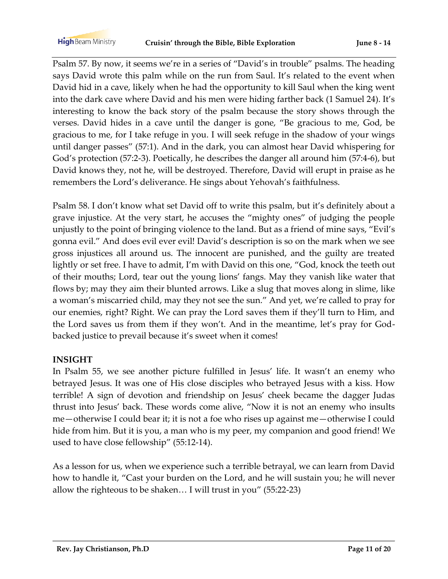Psalm 57. By now, it seems we're in a series of "David's in trouble" psalms. The heading says David wrote this palm while on the run from Saul. It's related to the event when David hid in a cave, likely when he had the opportunity to kill Saul when the king went into the dark cave where David and his men were hiding farther back (1 Samuel 24). It's interesting to know the back story of the psalm because the story shows through the verses. David hides in a cave until the danger is gone, "Be gracious to me, God, be gracious to me, for I take refuge in you. I will seek refuge in the shadow of your wings until danger passes" (57:1). And in the dark, you can almost hear David whispering for God's protection (57:2-3). Poetically, he describes the danger all around him (57:4-6), but David knows they, not he, will be destroyed. Therefore, David will erupt in praise as he remembers the Lord's deliverance. He sings about Yehovah's faithfulness.

Psalm 58. I don't know what set David off to write this psalm, but it's definitely about a grave injustice. At the very start, he accuses the "mighty ones" of judging the people unjustly to the point of bringing violence to the land. But as a friend of mine says, "Evil's gonna evil." And does evil ever evil! David's description is so on the mark when we see gross injustices all around us. The innocent are punished, and the guilty are treated lightly or set free. I have to admit, I'm with David on this one, "God, knock the teeth out of their mouths; Lord, tear out the young lions' fangs. May they vanish like water that flows by; may they aim their blunted arrows. Like a slug that moves along in slime, like a woman's miscarried child, may they not see the sun." And yet, we're called to pray for our enemies, right? Right. We can pray the Lord saves them if they'll turn to Him, and the Lord saves us from them if they won't. And in the meantime, let's pray for Godbacked justice to prevail because it's sweet when it comes!

#### **INSIGHT**

In Psalm 55, we see another picture fulfilled in Jesus' life. It wasn't an enemy who betrayed Jesus. It was one of His close disciples who betrayed Jesus with a kiss. How terrible! A sign of devotion and friendship on Jesus' cheek became the dagger Judas thrust into Jesus' back. These words come alive, "Now it is not an enemy who insults me—otherwise I could bear it; it is not a foe who rises up against me—otherwise I could hide from him. But it is you, a man who is my peer, my companion and good friend! We used to have close fellowship" (55:12-14).

As a lesson for us, when we experience such a terrible betrayal, we can learn from David how to handle it, "Cast your burden on the Lord, and he will sustain you; he will never allow the righteous to be shaken… I will trust in you" (55:22-23)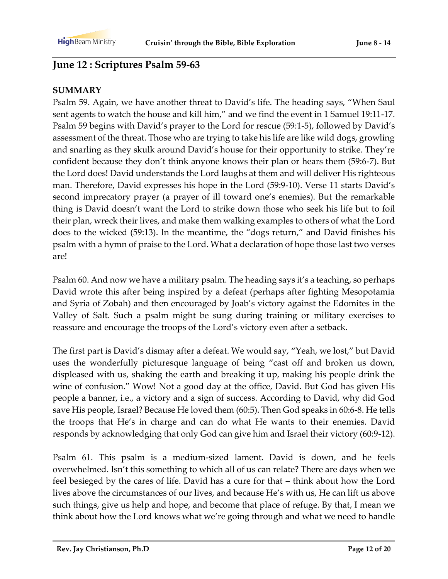# **June 12 : Scriptures Psalm 59-63**

### **SUMMARY**

Psalm 59. Again, we have another threat to David's life. The heading says, "When Saul sent agents to watch the house and kill him," and we find the event in 1 Samuel 19:11-17. Psalm 59 begins with David's prayer to the Lord for rescue (59:1-5), followed by David's assessment of the threat. Those who are trying to take his life are like wild dogs, growling and snarling as they skulk around David's house for their opportunity to strike. They're confident because they don't think anyone knows their plan or hears them (59:6-7). But the Lord does! David understands the Lord laughs at them and will deliver His righteous man. Therefore, David expresses his hope in the Lord (59:9-10). Verse 11 starts David's second imprecatory prayer (a prayer of ill toward one's enemies). But the remarkable thing is David doesn't want the Lord to strike down those who seek his life but to foil their plan, wreck their lives, and make them walking examples to others of what the Lord does to the wicked (59:13). In the meantime, the "dogs return," and David finishes his psalm with a hymn of praise to the Lord. What a declaration of hope those last two verses are!

Psalm 60. And now we have a military psalm. The heading says it's a teaching, so perhaps David wrote this after being inspired by a defeat (perhaps after fighting Mesopotamia and Syria of Zobah) and then encouraged by Joab's victory against the Edomites in the Valley of Salt. Such a psalm might be sung during training or military exercises to reassure and encourage the troops of the Lord's victory even after a setback.

The first part is David's dismay after a defeat. We would say, "Yeah, we lost," but David uses the wonderfully picturesque language of being "cast off and broken us down, displeased with us, shaking the earth and breaking it up, making his people drink the wine of confusion." Wow! Not a good day at the office, David. But God has given His people a banner, i.e., a victory and a sign of success. According to David, why did God save His people, Israel? Because He loved them (60:5). Then God speaks in 60:6-8. He tells the troops that He's in charge and can do what He wants to their enemies. David responds by acknowledging that only God can give him and Israel their victory (60:9-12).

Psalm 61. This psalm is a medium-sized lament. David is down, and he feels overwhelmed. Isn't this something to which all of us can relate? There are days when we feel besieged by the cares of life. David has a cure for that – think about how the Lord lives above the circumstances of our lives, and because He's with us, He can lift us above such things, give us help and hope, and become that place of refuge. By that, I mean we think about how the Lord knows what we're going through and what we need to handle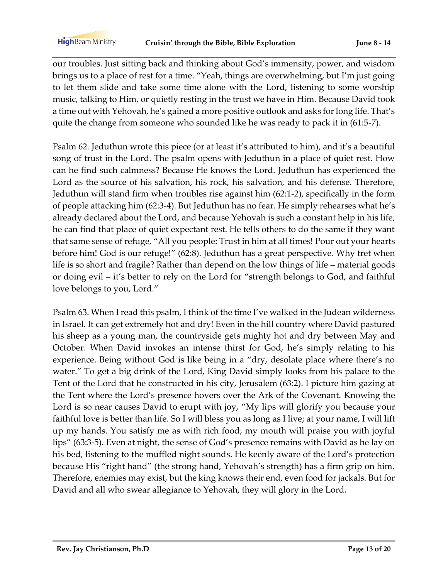our troubles. Just sitting back and thinking about God's immensity, power, and wisdom brings us to a place of rest for a time. "Yeah, things are overwhelming, but I'm just going to let them slide and take some time alone with the Lord, listening to some worship music, talking to Him, or quietly resting in the trust we have in Him. Because David took a time out with Yehovah, he's gained a more positive outlook and asks for long life. That's quite the change from someone who sounded like he was ready to pack it in (61:5-7).

Psalm 62. Jeduthun wrote this piece (or at least it's attributed to him), and it's a beautiful song of trust in the Lord. The psalm opens with Jeduthun in a place of quiet rest. How can he find such calmness? Because He knows the Lord. Jeduthun has experienced the Lord as the source of his salvation, his rock, his salvation, and his defense. Therefore, Jeduthun will stand firm when troubles rise against him (62:1-2), specifically in the form of people attacking him (62:3-4). But Jeduthun has no fear. He simply rehearses what he's already declared about the Lord, and because Yehovah is such a constant help in his life, he can find that place of quiet expectant rest. He tells others to do the same if they want that same sense of refuge, "All you people: Trust in him at all times! Pour out your hearts before him! God is our refuge!" (62:8). Jeduthun has a great perspective. Why fret when life is so short and fragile? Rather than depend on the low things of life – material goods or doing evil – it's better to rely on the Lord for "strength belongs to God, and faithful love belongs to you, Lord."

Psalm 63. When I read this psalm, I think of the time I've walked in the Judean wilderness in Israel. It can get extremely hot and dry! Even in the hill country where David pastured his sheep as a young man, the countryside gets mighty hot and dry between May and October. When David invokes an intense thirst for God, he's simply relating to his experience. Being without God is like being in a "dry, desolate place where there's no water." To get a big drink of the Lord, King David simply looks from his palace to the Tent of the Lord that he constructed in his city, Jerusalem (63:2). I picture him gazing at the Tent where the Lord's presence hovers over the Ark of the Covenant. Knowing the Lord is so near causes David to erupt with joy, "My lips will glorify you because your faithful love is better than life. So I will bless you as long as I live; at your name, I will lift up my hands. You satisfy me as with rich food; my mouth will praise you with joyful lips" (63:3-5). Even at night, the sense of God's presence remains with David as he lay on his bed, listening to the muffled night sounds. He keenly aware of the Lord's protection because His "right hand" (the strong hand, Yehovah's strength) has a firm grip on him. Therefore, enemies may exist, but the king knows their end, even food for jackals. But for David and all who swear allegiance to Yehovah, they will glory in the Lord.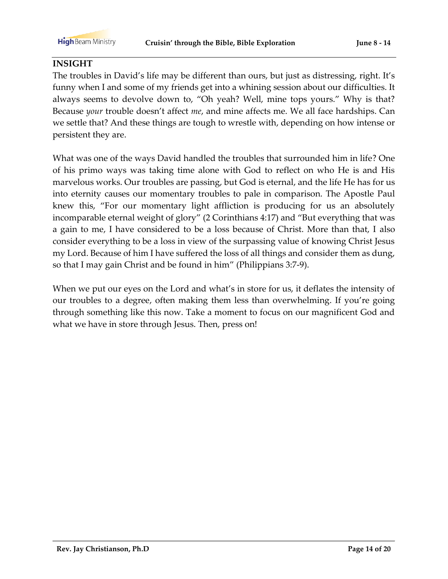#### **INSIGHT**

The troubles in David's life may be different than ours, but just as distressing, right. It's funny when I and some of my friends get into a whining session about our difficulties. It always seems to devolve down to, "Oh yeah? Well, mine tops yours." Why is that? Because *your* trouble doesn't affect *me*, and mine affects me. We all face hardships. Can we settle that? And these things are tough to wrestle with, depending on how intense or persistent they are.

What was one of the ways David handled the troubles that surrounded him in life? One of his primo ways was taking time alone with God to reflect on who He is and His marvelous works. Our troubles are passing, but God is eternal, and the life He has for us into eternity causes our momentary troubles to pale in comparison. The Apostle Paul knew this, "For our momentary light affliction is producing for us an absolutely incomparable eternal weight of glory" (2 Corinthians 4:17) and "But everything that was a gain to me, I have considered to be a loss because of Christ. More than that, I also consider everything to be a loss in view of the surpassing value of knowing Christ Jesus my Lord. Because of him I have suffered the loss of all things and consider them as dung, so that I may gain Christ and be found in him" (Philippians 3:7-9).

When we put our eyes on the Lord and what's in store for us, it deflates the intensity of our troubles to a degree, often making them less than overwhelming. If you're going through something like this now. Take a moment to focus on our magnificent God and what we have in store through Jesus. Then, press on!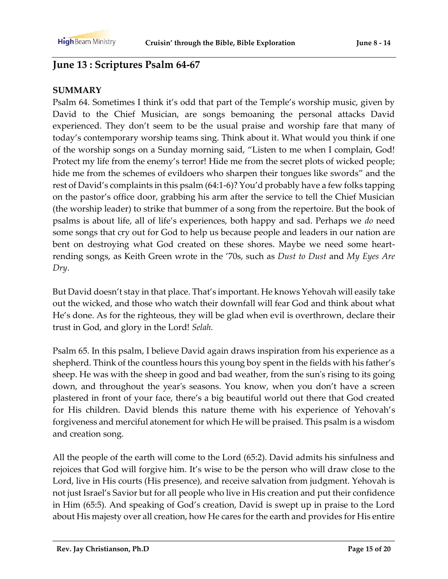# **June 13 : Scriptures Psalm 64-67**

#### **SUMMARY**

Psalm 64. Sometimes I think it's odd that part of the Temple's worship music, given by David to the Chief Musician, are songs bemoaning the personal attacks David experienced. They don't seem to be the usual praise and worship fare that many of today's contemporary worship teams sing. Think about it. What would you think if one of the worship songs on a Sunday morning said, "Listen to me when I complain, God! Protect my life from the enemy's terror! Hide me from the secret plots of wicked people; hide me from the schemes of evildoers who sharpen their tongues like swords" and the rest of David's complaints in this psalm (64:1-6)? You'd probably have a few folks tapping on the pastor's office door, grabbing his arm after the service to tell the Chief Musician (the worship leader) to strike that bummer of a song from the repertoire. But the book of psalms is about life, all of life's experiences, both happy and sad. Perhaps we *do* need some songs that cry out for God to help us because people and leaders in our nation are bent on destroying what God created on these shores. Maybe we need some heartrending songs, as Keith Green wrote in the '70s, such as *Dust to Dust* and *My Eyes Are Dry*.

But David doesn't stay in that place. That's important. He knows Yehovah will easily take out the wicked, and those who watch their downfall will fear God and think about what He's done. As for the righteous, they will be glad when evil is overthrown, declare their trust in God, and glory in the Lord! *Selah.*

Psalm 65. In this psalm, I believe David again draws inspiration from his experience as a shepherd. Think of the countless hours this young boy spent in the fields with his father's sheep. He was with the sheep in good and bad weather, from the sun's rising to its going down, and throughout the year's seasons. You know, when you don't have a screen plastered in front of your face, there's a big beautiful world out there that God created for His children. David blends this nature theme with his experience of Yehovah's forgiveness and merciful atonement for which He will be praised. This psalm is a wisdom and creation song.

All the people of the earth will come to the Lord (65:2). David admits his sinfulness and rejoices that God will forgive him. It's wise to be the person who will draw close to the Lord, live in His courts (His presence), and receive salvation from judgment. Yehovah is not just Israel's Savior but for all people who live in His creation and put their confidence in Him (65:5). And speaking of God's creation, David is swept up in praise to the Lord about His majesty over all creation, how He cares for the earth and provides for His entire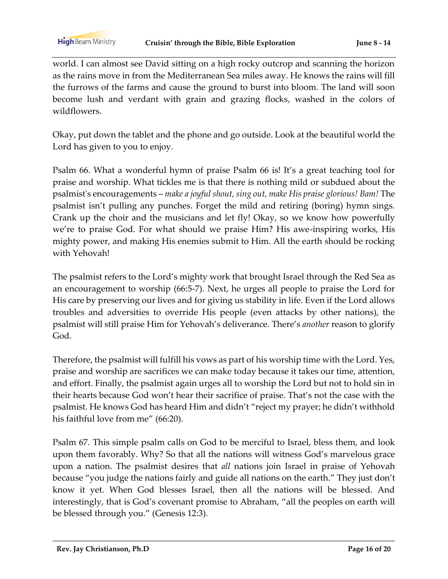world. I can almost see David sitting on a high rocky outcrop and scanning the horizon as the rains move in from the Mediterranean Sea miles away. He knows the rains will fill the furrows of the farms and cause the ground to burst into bloom. The land will soon become lush and verdant with grain and grazing flocks, washed in the colors of wildflowers.

Okay, put down the tablet and the phone and go outside. Look at the beautiful world the Lord has given to you to enjoy.

Psalm 66. What a wonderful hymn of praise Psalm 66 is! It's a great teaching tool for praise and worship. What tickles me is that there is nothing mild or subdued about the psalmist's encouragements – *make a joyful shout, sing out, make His praise glorious! Bam!* The psalmist isn't pulling any punches. Forget the mild and retiring (boring) hymn sings. Crank up the choir and the musicians and let fly! Okay, so we know how powerfully we're to praise God. For what should we praise Him? His awe-inspiring works, His mighty power, and making His enemies submit to Him. All the earth should be rocking with Yehovah!

The psalmist refers to the Lord's mighty work that brought Israel through the Red Sea as an encouragement to worship (66:5-7). Next, he urges all people to praise the Lord for His care by preserving our lives and for giving us stability in life. Even if the Lord allows troubles and adversities to override His people (even attacks by other nations), the psalmist will still praise Him for Yehovah's deliverance. There's *another* reason to glorify God.

Therefore, the psalmist will fulfill his vows as part of his worship time with the Lord. Yes, praise and worship are sacrifices we can make today because it takes our time, attention, and effort. Finally, the psalmist again urges all to worship the Lord but not to hold sin in their hearts because God won't hear their sacrifice of praise. That's not the case with the psalmist. He knows God has heard Him and didn't "reject my prayer; he didn't withhold his faithful love from me" (66:20).

Psalm 67. This simple psalm calls on God to be merciful to Israel, bless them, and look upon them favorably. Why? So that all the nations will witness God's marvelous grace upon a nation. The psalmist desires that *all* nations join Israel in praise of Yehovah because "you judge the nations fairly and guide all nations on the earth." They just don't know it yet. When God blesses Israel, then all the nations will be blessed. And interestingly, that is God's covenant promise to Abraham, "all the peoples on earth will be blessed through you." (Genesis 12:3).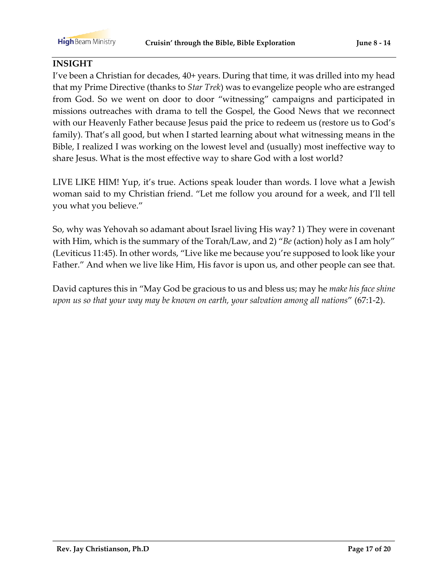#### **INSIGHT**

I've been a Christian for decades, 40+ years. During that time, it was drilled into my head that my Prime Directive (thanks to *Star Trek*) was to evangelize people who are estranged from God. So we went on door to door "witnessing" campaigns and participated in missions outreaches with drama to tell the Gospel, the Good News that we reconnect with our Heavenly Father because Jesus paid the price to redeem us (restore us to God's family). That's all good, but when I started learning about what witnessing means in the Bible, I realized I was working on the lowest level and (usually) most ineffective way to share Jesus. What is the most effective way to share God with a lost world?

LIVE LIKE HIM! Yup, it's true. Actions speak louder than words. I love what a Jewish woman said to my Christian friend. "Let me follow you around for a week, and I'll tell you what you believe."

So, why was Yehovah so adamant about Israel living His way? 1) They were in covenant with Him, which is the summary of the Torah/Law, and 2) "*Be* (action) holy as I am holy" (Leviticus 11:45). In other words, "Live like me because you're supposed to look like your Father." And when we live like Him, His favor is upon us, and other people can see that.

David captures this in "May God be gracious to us and bless us; may he *make his face shine upon us so that your way may be known on earth, your salvation among all nations*" (67:1-2).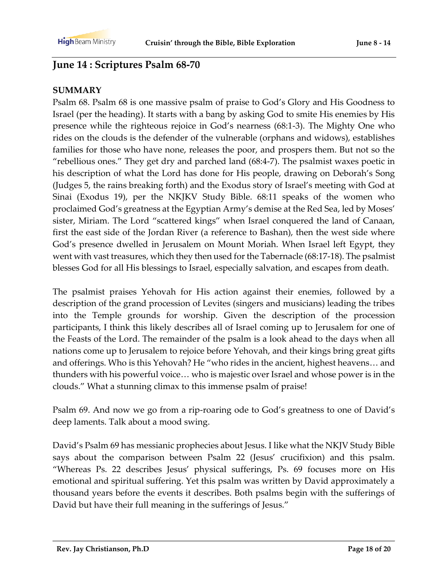# **June 14 : Scriptures Psalm 68-70**

#### **SUMMARY**

Psalm 68. Psalm 68 is one massive psalm of praise to God's Glory and His Goodness to Israel (per the heading). It starts with a bang by asking God to smite His enemies by His presence while the righteous rejoice in God's nearness (68:1-3). The Mighty One who rides on the clouds is the defender of the vulnerable (orphans and widows), establishes families for those who have none, releases the poor, and prospers them. But not so the "rebellious ones." They get dry and parched land (68:4-7). The psalmist waxes poetic in his description of what the Lord has done for His people, drawing on Deborah's Song (Judges 5, the rains breaking forth) and the Exodus story of Israel's meeting with God at Sinai (Exodus 19), per the NKJKV Study Bible. 68:11 speaks of the women who proclaimed God's greatness at the Egyptian Army's demise at the Red Sea, led by Moses' sister, Miriam. The Lord "scattered kings" when Israel conquered the land of Canaan, first the east side of the Jordan River (a reference to Bashan), then the west side where God's presence dwelled in Jerusalem on Mount Moriah. When Israel left Egypt, they went with vast treasures, which they then used for the Tabernacle (68:17-18). The psalmist blesses God for all His blessings to Israel, especially salvation, and escapes from death.

The psalmist praises Yehovah for His action against their enemies, followed by a description of the grand procession of Levites (singers and musicians) leading the tribes into the Temple grounds for worship. Given the description of the procession participants, I think this likely describes all of Israel coming up to Jerusalem for one of the Feasts of the Lord. The remainder of the psalm is a look ahead to the days when all nations come up to Jerusalem to rejoice before Yehovah, and their kings bring great gifts and offerings. Who is this Yehovah? He "who rides in the ancient, highest heavens… and thunders with his powerful voice… who is majestic over Israel and whose power is in the clouds." What a stunning climax to this immense psalm of praise!

Psalm 69. And now we go from a rip-roaring ode to God's greatness to one of David's deep laments. Talk about a mood swing.

David's Psalm 69 has messianic prophecies about Jesus. I like what the NKJV Study Bible says about the comparison between Psalm 22 (Jesus' crucifixion) and this psalm. "Whereas Ps. 22 describes Jesus' physical sufferings, Ps. 69 focuses more on His emotional and spiritual suffering. Yet this psalm was written by David approximately a thousand years before the events it describes. Both psalms begin with the sufferings of David but have their full meaning in the sufferings of Jesus."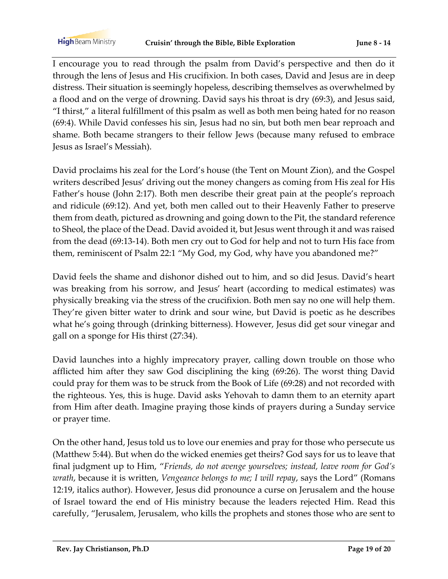I encourage you to read through the psalm from David's perspective and then do it through the lens of Jesus and His crucifixion. In both cases, David and Jesus are in deep distress. Their situation is seemingly hopeless, describing themselves as overwhelmed by a flood and on the verge of drowning. David says his throat is dry (69:3), and Jesus said, "I thirst," a literal fulfillment of this psalm as well as both men being hated for no reason (69:4). While David confesses his sin, Jesus had no sin, but both men bear reproach and shame. Both became strangers to their fellow Jews (because many refused to embrace Jesus as Israel's Messiah).

David proclaims his zeal for the Lord's house (the Tent on Mount Zion), and the Gospel writers described Jesus' driving out the money changers as coming from His zeal for His Father's house (John 2:17). Both men describe their great pain at the people's reproach and ridicule (69:12). And yet, both men called out to their Heavenly Father to preserve them from death, pictured as drowning and going down to the Pit, the standard reference to Sheol, the place of the Dead. David avoided it, but Jesus went through it and was raised from the dead (69:13-14). Both men cry out to God for help and not to turn His face from them, reminiscent of Psalm 22:1 "My God, my God, why have you abandoned me?"

David feels the shame and dishonor dished out to him, and so did Jesus. David's heart was breaking from his sorrow, and Jesus' heart (according to medical estimates) was physically breaking via the stress of the crucifixion. Both men say no one will help them. They're given bitter water to drink and sour wine, but David is poetic as he describes what he's going through (drinking bitterness). However, Jesus did get sour vinegar and gall on a sponge for His thirst (27:34).

David launches into a highly imprecatory prayer, calling down trouble on those who afflicted him after they saw God disciplining the king (69:26). The worst thing David could pray for them was to be struck from the Book of Life (69:28) and not recorded with the righteous. Yes, this is huge. David asks Yehovah to damn them to an eternity apart from Him after death. Imagine praying those kinds of prayers during a Sunday service or prayer time.

On the other hand, Jesus told us to love our enemies and pray for those who persecute us (Matthew 5:44). But when do the wicked enemies get theirs? God says for us to leave that final judgment up to Him, "*Friends, do not avenge yourselves; instead, leave room for God's wrath*, because it is written, *Vengeance belongs to me; I will repay*, says the Lord" (Romans 12:19, italics author). However, Jesus did pronounce a curse on Jerusalem and the house of Israel toward the end of His ministry because the leaders rejected Him. Read this carefully, "Jerusalem, Jerusalem, who kills the prophets and stones those who are sent to